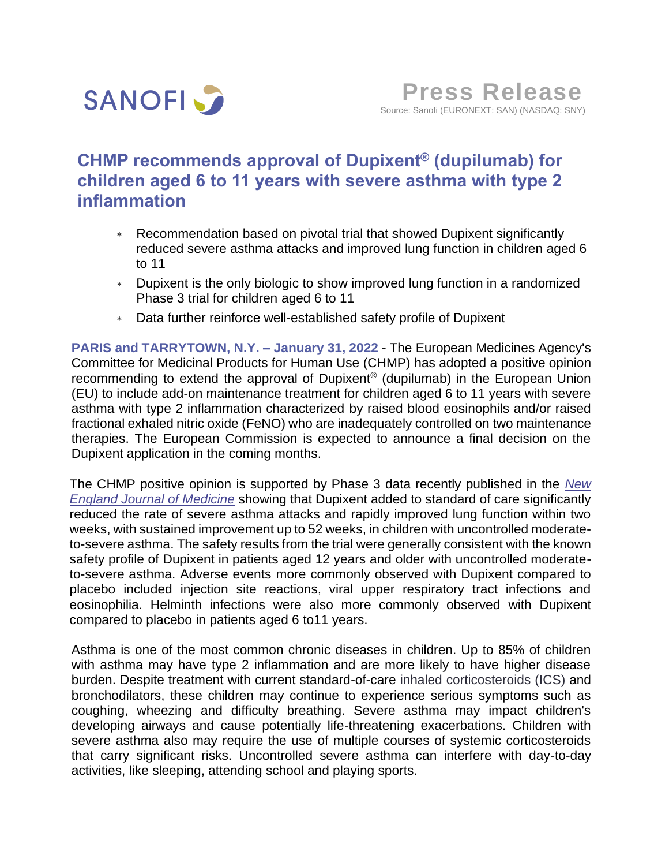

# **CHMP recommends approval of Dupixent® (dupilumab) for children aged 6 to 11 years with severe asthma with type 2 inflammation**

- Recommendation based on pivotal trial that showed Dupixent significantly reduced severe asthma attacks and improved lung function in children aged 6 to 11
- Dupixent is the only biologic to show improved lung function in a randomized Phase 3 trial for children aged 6 to 11
- Data further reinforce well-established safety profile of Dupixent

**PARIS and TARRYTOWN, N.Y. – January 31, 2022** - The European Medicines Agency's Committee for Medicinal Products for Human Use (CHMP) has adopted a positive opinion recommending to extend the approval of Dupixent® (dupilumab) in the European Union (EU) to include add-on maintenance treatment for children aged 6 to 11 years with severe asthma with type 2 inflammation characterized by raised blood eosinophils and/or raised fractional exhaled nitric oxide (FeNO) who are inadequately controlled on two maintenance therapies. The European Commission is expected to announce a final decision on the Dupixent application in the coming months.

The CHMP positive opinion is supported by Phase 3 data recently published in the *[New](https://www.sanofi.com/en/media-room/press-releases/2021/2021-12-08-23-30-00-2348703)  [England Journal of Medicine](https://www.sanofi.com/en/media-room/press-releases/2021/2021-12-08-23-30-00-2348703)* showing that Dupixent added to standard of care significantly reduced the rate of severe asthma attacks and rapidly improved lung function within two weeks, with sustained improvement up to 52 weeks, in children with uncontrolled moderateto-severe asthma. The safety results from the trial were generally consistent with the known safety profile of Dupixent in patients aged 12 years and older with uncontrolled moderateto-severe asthma. Adverse events more commonly observed with Dupixent compared to placebo included injection site reactions, viral upper respiratory tract infections and eosinophilia. Helminth infections were also more commonly observed with Dupixent compared to placebo in patients aged 6 to11 years.

Asthma is one of the most common chronic diseases in children. Up to 85% of children with asthma may have type 2 inflammation and are more likely to have higher disease burden. Despite treatment with current standard-of-care inhaled corticosteroids (ICS) and bronchodilators, these children may continue to experience serious symptoms such as coughing, wheezing and difficulty breathing. Severe asthma may impact children's developing airways and cause potentially life-threatening exacerbations. Children with severe asthma also may require the use of multiple courses of systemic corticosteroids that carry significant risks. Uncontrolled severe asthma can interfere with day-to-day activities, like sleeping, attending school and playing sports.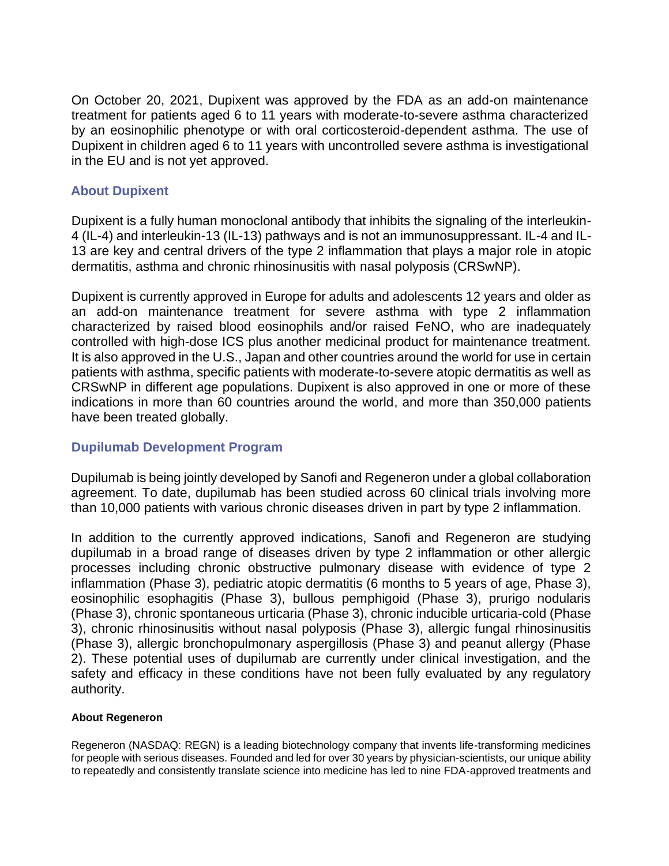On October 20, 2021, Dupixent was approved by the FDA as an add-on maintenance treatment for patients aged 6 to 11 years with moderate-to-severe asthma characterized by an eosinophilic phenotype or with oral corticosteroid-dependent asthma. The use of Dupixent in children aged 6 to 11 years with uncontrolled severe asthma is investigational in the EU and is not yet approved.

## **About Dupixent**

Dupixent is a fully human monoclonal antibody that inhibits the signaling of the interleukin-4 (IL-4) and interleukin-13 (IL-13) pathways and is not an immunosuppressant. IL-4 and IL-13 are key and central drivers of the type 2 inflammation that plays a major role in atopic dermatitis, asthma and chronic rhinosinusitis with nasal polyposis (CRSwNP).

Dupixent is currently approved in Europe for adults and adolescents 12 years and older as an add-on maintenance treatment for severe asthma with type 2 inflammation characterized by raised blood eosinophils and/or raised FeNO, who are inadequately controlled with high-dose ICS plus another medicinal product for maintenance treatment. It is also approved in the U.S., Japan and other countries around the world for use in certain patients with asthma, specific patients with moderate-to-severe atopic dermatitis as well as CRSwNP in different age populations. Dupixent is also approved in one or more of these indications in more than 60 countries around the world, and more than 350,000 patients have been treated globally.

## **Dupilumab Development Program**

Dupilumab is being jointly developed by Sanofi and Regeneron under a global collaboration agreement. To date, dupilumab has been studied across 60 clinical trials involving more than 10,000 patients with various chronic diseases driven in part by type 2 inflammation.

In addition to the currently approved indications, Sanofi and Regeneron are studying dupilumab in a broad range of diseases driven by type 2 inflammation or other allergic processes including chronic obstructive pulmonary disease with evidence of type 2 inflammation (Phase 3), pediatric atopic dermatitis (6 months to 5 years of age, Phase 3), eosinophilic esophagitis (Phase 3), bullous pemphigoid (Phase 3), prurigo nodularis (Phase 3), chronic spontaneous urticaria (Phase 3), chronic inducible urticaria-cold (Phase 3), chronic rhinosinusitis without nasal polyposis (Phase 3), allergic fungal rhinosinusitis (Phase 3), allergic bronchopulmonary aspergillosis (Phase 3) and peanut allergy (Phase 2). These potential uses of dupilumab are currently under clinical investigation, and the safety and efficacy in these conditions have not been fully evaluated by any regulatory authority.

## **About Regeneron**

Regeneron (NASDAQ: REGN) is a leading biotechnology company that invents life-transforming medicines for people with serious diseases. Founded and led for over 30 years by physician-scientists, our unique ability to repeatedly and consistently translate science into medicine has led to nine FDA-approved treatments and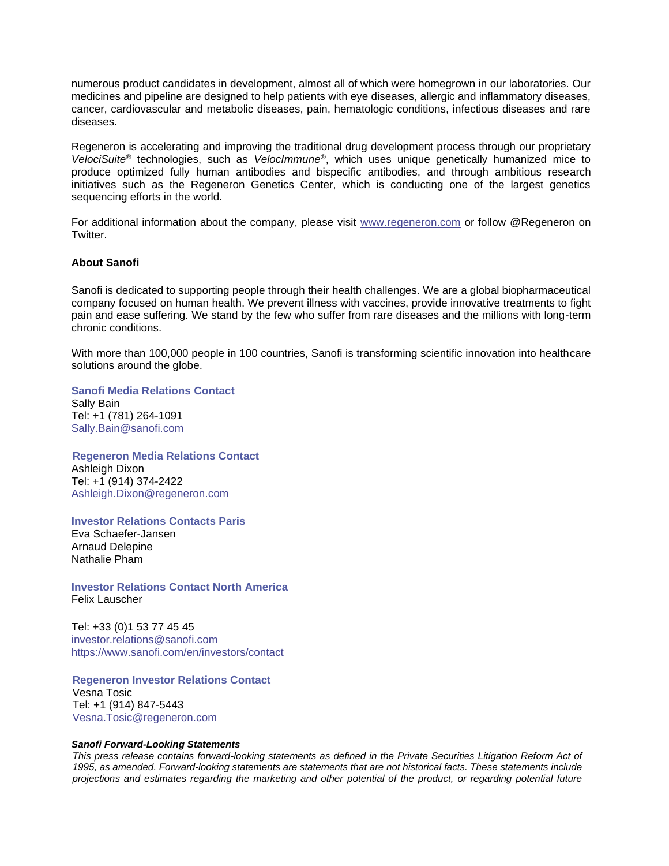numerous product candidates in development, almost all of which were homegrown in our laboratories. Our medicines and pipeline are designed to help patients with eye diseases, allergic and inflammatory diseases, cancer, cardiovascular and metabolic diseases, pain, hematologic conditions, infectious diseases and rare diseases.

Regeneron is accelerating and improving the traditional drug development process through our proprietary *VelociSuite®* technologies, such as *VelocImmune®*, which uses unique genetically humanized mice to produce optimized fully human antibodies and bispecific antibodies, and through ambitious research initiatives such as the Regeneron Genetics Center, which is conducting one of the largest genetics sequencing efforts in the world.

For additional information about the company, please visit [www.regeneron.com](http://www.regeneron.com/) or follow @Regeneron on Twitter.

### **About Sanofi**

Sanofi is dedicated to supporting people through their health challenges. We are a global biopharmaceutical company focused on human health. We prevent illness with vaccines, provide innovative treatments to fight pain and ease suffering. We stand by the few who suffer from rare diseases and the millions with long-term chronic conditions.

With more than 100,000 people in 100 countries, Sanofi is transforming scientific innovation into healthcare solutions around the globe.

**Sanofi Media Relations Contact** Sally Bain Tel: +1 (781) 264-1091 Sally.Bain@sanofi.com

**Regeneron Media Relations Contact** Ashleigh Dixon Tel: +1 (914) 374-2422 [Ashleigh.Dixon@regeneron.com](mailto:Ashleigh.Dixon@regeneron.com)

**Investor Relations Contacts Paris** Eva Schaefer-Jansen Arnaud Delepine Nathalie Pham

**Investor Relations Contact North America** Felix Lauscher

Tel: +33 (0)1 53 77 45 45 [investor.relations@sanofi.com](mailto:investor.relations@sanofi.com) <https://www.sanofi.com/en/investors/contact>

**Regeneron Investor Relations Contact** Vesna Tosic Tel: +1 (914) 847-5443 [Vesna.Tosic@regeneron.com](mailto:Vesna.Tosic@regeneron.com)

#### *Sanofi Forward-Looking Statements*

*This press release contains forward-looking statements as defined in the Private Securities Litigation Reform Act of 1995, as amended. Forward-looking statements are statements that are not historical facts. These statements include projections and estimates regarding the marketing and other potential of the product, or regarding potential future*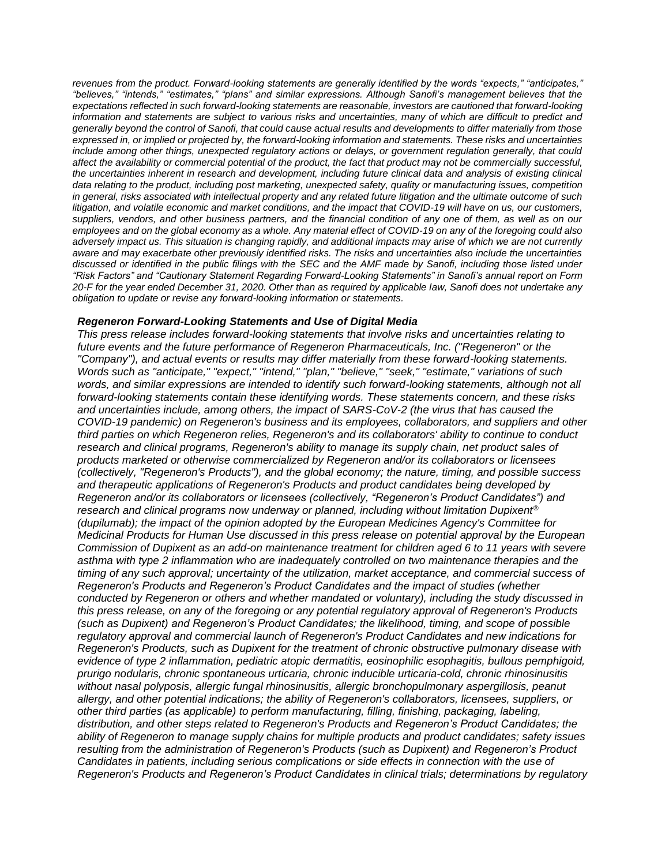*revenues from the product. Forward-looking statements are generally identified by the words "expects," "anticipates," "believes," "intends," "estimates," "plans" and similar expressions. Although Sanofi's management believes that the expectations reflected in such forward-looking statements are reasonable, investors are cautioned that forward-looking information and statements are subject to various risks and uncertainties, many of which are difficult to predict and generally beyond the control of Sanofi, that could cause actual results and developments to differ materially from those expressed in, or implied or projected by, the forward-looking information and statements. These risks and uncertainties include among other things, unexpected regulatory actions or delays, or government regulation generally, that could affect the availability or commercial potential of the product, the fact that product may not be commercially successful, the uncertainties inherent in research and development, including future clinical data and analysis of existing clinical data relating to the product, including post marketing, unexpected safety, quality or manufacturing issues, competition in general, risks associated with intellectual property and any related future litigation and the ultimate outcome of such litigation, and volatile economic and market conditions, and the impact that COVID-19 will have on us, our customers, suppliers, vendors, and other business partners, and the financial condition of any one of them, as well as on our employees and on the global economy as a whole. Any material effect of COVID-19 on any of the foregoing could also adversely impact us. This situation is changing rapidly, and additional impacts may arise of which we are not currently aware and may exacerbate other previously identified risks. The risks and uncertainties also include the uncertainties discussed or identified in the public filings with the SEC and the AMF made by Sanofi, including those listed under "Risk Factors" and "Cautionary Statement Regarding Forward-Looking Statements" in Sanofi's annual report on Form 20-F for the year ended December 31, 2020. Other than as required by applicable law, Sanofi does not undertake any obligation to update or revise any forward-looking information or statements.*

#### *Regeneron Forward-Looking Statements and Use of Digital Media*

*This press release includes forward-looking statements that involve risks and uncertainties relating to future events and the future performance of Regeneron Pharmaceuticals, Inc. ("Regeneron" or the "Company"), and actual events or results may differ materially from these forward-looking statements. Words such as "anticipate," "expect," "intend," "plan," "believe," "seek," "estimate," variations of such*  words, and similar expressions are intended to identify such forward-looking statements, although not all *forward-looking statements contain these identifying words. These statements concern, and these risks and uncertainties include, among others, the impact of SARS-CoV-2 (the virus that has caused the COVID-19 pandemic) on Regeneron's business and its employees, collaborators, and suppliers and other third parties on which Regeneron relies, Regeneron's and its collaborators' ability to continue to conduct research and clinical programs, Regeneron's ability to manage its supply chain, net product sales of products marketed or otherwise commercialized by Regeneron and/or its collaborators or licensees (collectively, "Regeneron's Products"), and the global economy; the nature, timing, and possible success and therapeutic applications of Regeneron's Products and product candidates being developed by Regeneron and/or its collaborators or licensees (collectively, "Regeneron's Product Candidates") and research and clinical programs now underway or planned, including without limitation Dupixent® (dupilumab); the impact of the opinion adopted by the European Medicines Agency's Committee for Medicinal Products for Human Use discussed in this press release on potential approval by the European Commission of Dupixent as an add-on maintenance treatment for children aged 6 to 11 years with severe asthma with type 2 inflammation who are inadequately controlled on two maintenance therapies and the timing of any such approval; uncertainty of the utilization, market acceptance, and commercial success of Regeneron's Products and Regeneron's Product Candidates and the impact of studies (whether conducted by Regeneron or others and whether mandated or voluntary), including the study discussed in this press release, on any of the foregoing or any potential regulatory approval of Regeneron's Products (such as Dupixent) and Regeneron's Product Candidates; the likelihood, timing, and scope of possible regulatory approval and commercial launch of Regeneron's Product Candidates and new indications for Regeneron's Products, such as Dupixent for the treatment of chronic obstructive pulmonary disease with evidence of type 2 inflammation, pediatric atopic dermatitis, eosinophilic esophagitis, bullous pemphigoid, prurigo nodularis, chronic spontaneous urticaria, chronic inducible urticaria-cold, chronic rhinosinusitis without nasal polyposis, allergic fungal rhinosinusitis, allergic bronchopulmonary aspergillosis, peanut allergy, and other potential indications; the ability of Regeneron's collaborators, licensees, suppliers, or other third parties (as applicable) to perform manufacturing, filling, finishing, packaging, labeling, distribution, and other steps related to Regeneron's Products and Regeneron's Product Candidates; the ability of Regeneron to manage supply chains for multiple products and product candidates; safety issues resulting from the administration of Regeneron's Products (such as Dupixent) and Regeneron's Product Candidates in patients, including serious complications or side effects in connection with the use of Regeneron's Products and Regeneron's Product Candidates in clinical trials; determinations by regulatory*